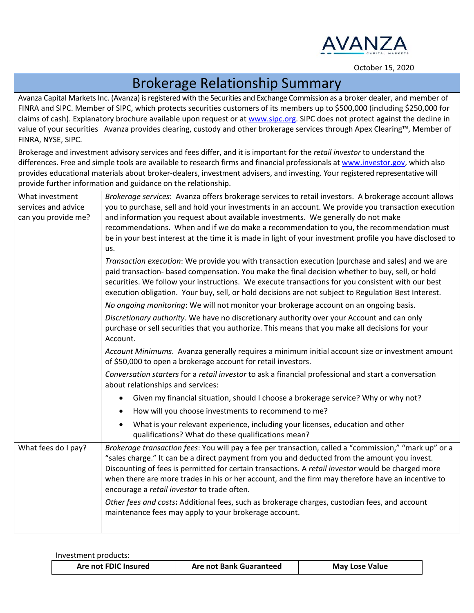

## October 15, <sup>2020</sup>

## Brokerage Relationship Summary

Avanza Capital Markets Inc. (Avanza) is registered with the Securities and Exchange Commission as a broker dealer, and member of FINRA and SIPC. Member of SIPC, which protects securities customers of its members up to \$500,000 (including \$250,000 for claims of cash). Explanatory brochure available upon request or at www.sipc.org. SIPC does not protect against the decline in value of your securities Avanza provides clearing, custody and other brokerage services through Apex Clearing™, Member of FINRA, NYSE, SIPC.

Brokerage and investment advisory services and fees differ, and it is important for the *retail investor* to understand the differences. Free and simple tools are available to research firms and financial professionals at www.investor.gov, which also provides educational materials about broker‐dealers, investment advisers, and investing. Your registered representative will provide further information and guidance on the relationship.

| What investment<br>services and advice<br>can you provide me? | Brokerage services: Avanza offers brokerage services to retail investors. A brokerage account allows<br>you to purchase, sell and hold your investments in an account. We provide you transaction execution<br>and information you request about available investments. We generally do not make                                                                                                                                                                                                                                                                                                                                                                                                                   |  |  |
|---------------------------------------------------------------|--------------------------------------------------------------------------------------------------------------------------------------------------------------------------------------------------------------------------------------------------------------------------------------------------------------------------------------------------------------------------------------------------------------------------------------------------------------------------------------------------------------------------------------------------------------------------------------------------------------------------------------------------------------------------------------------------------------------|--|--|
|                                                               | recommendations. When and if we do make a recommendation to you, the recommendation must<br>be in your best interest at the time it is made in light of your investment profile you have disclosed to                                                                                                                                                                                                                                                                                                                                                                                                                                                                                                              |  |  |
|                                                               | us.<br>Transaction execution: We provide you with transaction execution (purchase and sales) and we are<br>paid transaction- based compensation. You make the final decision whether to buy, sell, or hold<br>securities. We follow your instructions. We execute transactions for you consistent with our best<br>execution obligation. Your buy, sell, or hold decisions are not subject to Regulation Best Interest.<br>No ongoing monitoring: We will not monitor your brokerage account on an ongoing basis.<br>Discretionary authority. We have no discretionary authority over your Account and can only<br>purchase or sell securities that you authorize. This means that you make all decisions for your |  |  |
|                                                               | Account.<br>Account Minimums. Avanza generally requires a minimum initial account size or investment amount<br>of \$50,000 to open a brokerage account for retail investors.<br>Conversation starters for a retail investor to ask a financial professional and start a conversation<br>about relationships and services:                                                                                                                                                                                                                                                                                                                                                                                          |  |  |
|                                                               | Given my financial situation, should I choose a brokerage service? Why or why not?                                                                                                                                                                                                                                                                                                                                                                                                                                                                                                                                                                                                                                 |  |  |
|                                                               | How will you choose investments to recommend to me?                                                                                                                                                                                                                                                                                                                                                                                                                                                                                                                                                                                                                                                                |  |  |
|                                                               | What is your relevant experience, including your licenses, education and other<br>qualifications? What do these qualifications mean?                                                                                                                                                                                                                                                                                                                                                                                                                                                                                                                                                                               |  |  |
| What fees do I pay?                                           | Brokerage transaction fees: You will pay a fee per transaction, called a "commission," "mark up" or a<br>"sales charge." It can be a direct payment from you and deducted from the amount you invest.<br>Discounting of fees is permitted for certain transactions. A retail investor would be charged more<br>when there are more trades in his or her account, and the firm may therefore have an incentive to<br>encourage a retail investor to trade often.<br>Other fees and costs: Additional fees, such as brokerage charges, custodian fees, and account                                                                                                                                                   |  |  |
|                                                               | maintenance fees may apply to your brokerage account.                                                                                                                                                                                                                                                                                                                                                                                                                                                                                                                                                                                                                                                              |  |  |